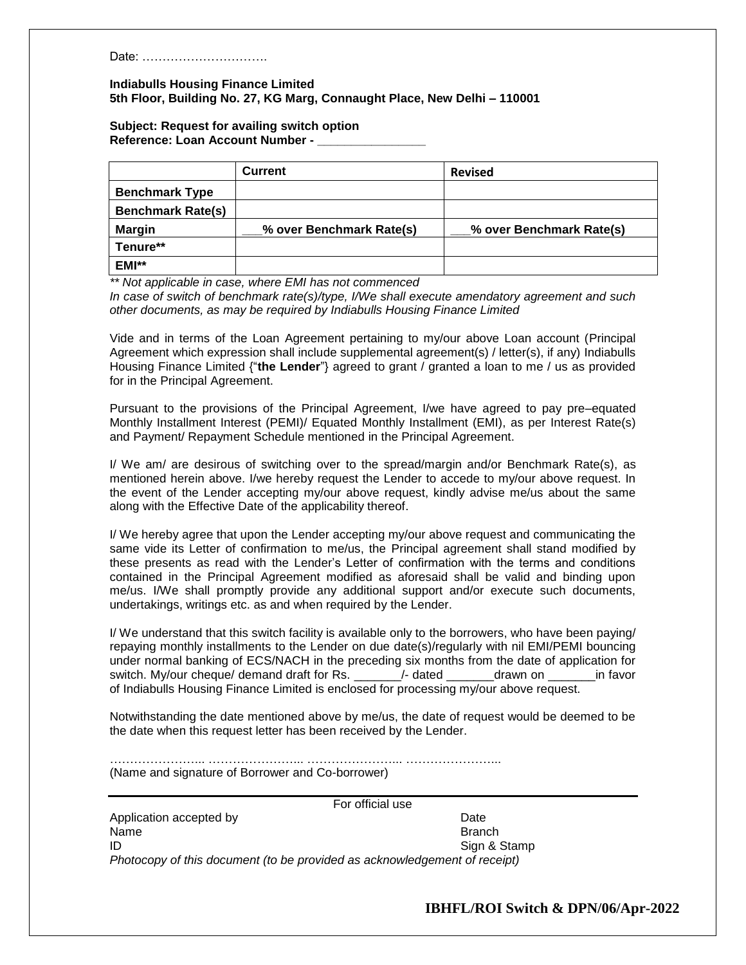Date: ………………………….

## **Indiabulls Housing Finance Limited 5th Floor, Building No. 27, KG Marg, Connaught Place, New Delhi – 110001**

## **Subject: Request for availing switch option Reference: Loan Account Number - \_\_\_\_\_\_\_\_\_\_\_\_\_\_\_\_**

|                          | <b>Current</b>           | <b>Revised</b>           |
|--------------------------|--------------------------|--------------------------|
| <b>Benchmark Type</b>    |                          |                          |
| <b>Benchmark Rate(s)</b> |                          |                          |
| <b>Margin</b>            | % over Benchmark Rate(s) | % over Benchmark Rate(s) |
| Tenure**                 |                          |                          |
| EMI**                    |                          |                          |

*\*\* Not applicable in case, where EMI has not commenced*

*In case of switch of benchmark rate(s)/type, I/We shall execute amendatory agreement and such other documents, as may be required by Indiabulls Housing Finance Limited* 

Vide and in terms of the Loan Agreement pertaining to my/our above Loan account (Principal Agreement which expression shall include supplemental agreement(s) / letter(s), if any) Indiabulls Housing Finance Limited {"**the Lender**"} agreed to grant / granted a loan to me / us as provided for in the Principal Agreement.

Pursuant to the provisions of the Principal Agreement, I/we have agreed to pay pre–equated Monthly Installment Interest (PEMI)/ Equated Monthly Installment (EMI), as per Interest Rate(s) and Payment/ Repayment Schedule mentioned in the Principal Agreement.

I/ We am/ are desirous of switching over to the spread/margin and/or Benchmark Rate(s), as mentioned herein above. I/we hereby request the Lender to accede to my/our above request. In the event of the Lender accepting my/our above request, kindly advise me/us about the same along with the Effective Date of the applicability thereof.

I/ We hereby agree that upon the Lender accepting my/our above request and communicating the same vide its Letter of confirmation to me/us, the Principal agreement shall stand modified by these presents as read with the Lender's Letter of confirmation with the terms and conditions contained in the Principal Agreement modified as aforesaid shall be valid and binding upon me/us. I/We shall promptly provide any additional support and/or execute such documents, undertakings, writings etc. as and when required by the Lender.

I/ We understand that this switch facility is available only to the borrowers, who have been paying/ repaying monthly installments to the Lender on due date(s)/regularly with nil EMI/PEMI bouncing under normal banking of ECS/NACH in the preceding six months from the date of application for switch. My/our cheque/ demand draft for Rs. \_\_\_\_\_\_\_/- dated \_\_\_\_\_\_\_drawn on \_\_\_\_\_\_\_in favor of Indiabulls Housing Finance Limited is enclosed for processing my/our above request.

Notwithstanding the date mentioned above by me/us, the date of request would be deemed to be the date when this request letter has been received by the Lender.

…………………... …………………... …………………... …………………...

(Name and signature of Borrower and Co-borrower)

For official use

Application accepted by Date and Application accepted by Name Branch **ID** Sign & Stamp *Photocopy of this document (to be provided as acknowledgement of receipt)*

**IBHFL/ROI Switch & DPN/06/Apr-2022**